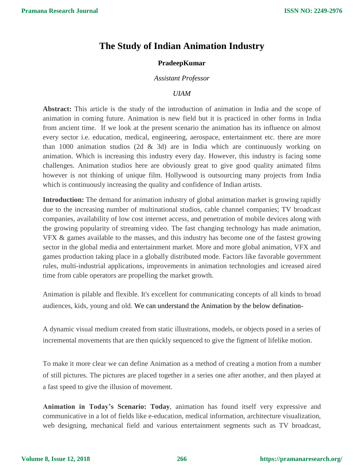# **The Study of Indian Animation Industry**

## **PradeepKumar**

### *Assistant Professor*

# *UIAM*

**Abstract:** This article is the study of the introduction of animation in India and the scope of animation in coming future. Animation is new field but it is practiced in other forms in India from ancient time. If we look at the present scenario the animation has its influence on almost every sector i.e. education, medical, engineering, aerospace, entertainment etc. there are more than 1000 animation studios (2d & 3d) are in India which are continuously working on animation. Which is increasing this industry every day. However, this industry is facing some challenges. Animation studios here are obviously great to give good quality animated films however is not thinking of unique film. Hollywood is outsourcing many projects from India which is continuously increasing the quality and confidence of Indian artists.

**Introduction:** The demand for animation industry of global animation market is growing rapidly due to the increasing number of multinational studios, cable channel companies; TV broadcast companies, availability of low cost internet access, and penetration of mobile devices along with the growing popularity of streaming video. The fast changing technology has made animation, VFX & games available to the masses, and this industry has become one of the fastest growing sector in the global media and entertainment market. More and more global animation, VFX and games production taking place in a globally distributed mode. Factors like favorable government rules, multi-industrial applications, improvements in animation technologies and icreased aired time from cable operators are propelling the market growth.

Animation is pilable and flexible. It's excellent for communicating concepts of all kinds to broad audiences, kids, young and old. We can understand the Animation by the below defination-

A dynamic visual medium created from static illustrations, models, or objects posed in a series of incremental movements that are then quickly sequenced to give the figment of lifelike motion.

To make it more clear we can define Animation as a method of creating a motion from a number of still pictures. The pictures are placed together in a series one after another, and then played at a fast [speed](https://simple.wikipedia.org/wiki/Speed) to give the [illusion](https://simple.wikipedia.org/wiki/Illusion) of [movement.](https://simple.wikipedia.org/wiki/Movement)

**Animation in Today's Scenario: Today**, animation has found itself very expressive and communicative in a lot of fields like e-education, medical information, architecture visualization, web designing, mechanical field and various entertainment segments such as TV broadcast,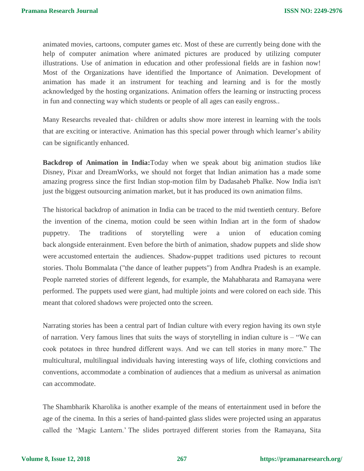animated movies, cartoons, computer games etc. Most of these are currently being done with the help of computer animation where animated pictures are produced by utilizing computer illustrations. Use of animation in education and other professional fields are in fashion now! Most of the Organizations have identified the Importance of Animation. Development of animation has made it an instrument for teaching and learning and is for the mostly acknowledged by the hosting organizations. Animation offers the learning or instructing process in fun and connecting way which students or people of all ages can easily engross..

Many Researchs revealed that- children or adults show more interest in learning with the tools that are exciting or interactive. Animation has this special power through which learner's ability can be significantly enhanced.

**Backdrop of Animation in India:**Today when we speak about big animation studios like Disney, Pixar and DreamWorks, we should not forget that Indian animation has a made some amazing progress since the first Indian stop-motion film by Dadasaheb Phalke. Now India isn't just the biggest outsourcing animation market, but it has produced its own animation films.

The historical backdrop of animation in India can be traced to the mid twentieth century. Before the invention of the cinema, motion could be seen within Indian art in the form of shadow puppetry. The traditions of storytelling were a union of education coming back alongside enterainment. Even before the birth of animation, shadow puppets and slide show were accustomed entertain the audiences. Shadow-puppet traditions used pictures to recount stories. Tholu Bommalata ("the dance of leather puppets") from Andhra Pradesh is an example. People narreted stories of different legends, for example, the Mahabharata and Ramayana were performed. The puppets used were giant, had multiple joints and were colored on each side. This meant that colored shadows were projected onto the screen.

Narrating stories has been a central part of Indian culture with every region having its own style of narration. Very famous lines that suits the ways of storytelling in indian culture is – "We can cook potatoes in three hundred different ways. And we can tell stories in many more." The multicultural, multilingual individuals having interesting ways of life, clothing convictions and conventions, accommodate a combination of audiences that a medium as universal as animation can accommodate.

The Shambharik Kharolika is another example of the means of entertainment used in before the age of the cinema. In this a series of hand-painted glass slides were projected using an apparatus called the 'Magic Lantern.' The slides portrayed different stories from the Ramayana, Sita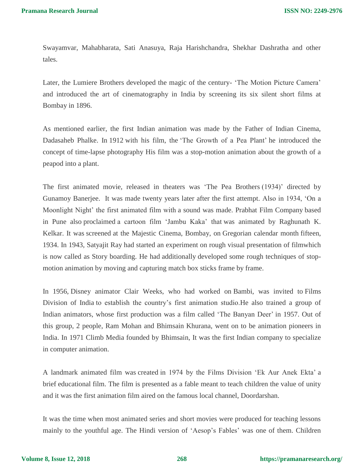Swayamvar, Mahabharata, Sati Anasuya, Raja Harishchandra, Shekhar Dashratha and other tales.

Later, the Lumiere Brothers developed the magic of the century- 'The Motion Picture Camera' and introduced the art of cinematography in India by screening its six silent short films at Bombay in 1896.

As mentioned earlier, the first Indian animation was made by the Father of Indian Cinema, Dadasaheb Phalke. In 1912 with his film, the 'The Growth of a Pea Plant' he introduced the concept of time-lapse photography His film was a stop-motion animation about the growth of a peapod into a plant.

The first animated movie, released in theaters was 'The Pea Brothers (1934)' directed by Gunamoy Banerjee. It was made twenty years later after the first attempt. Also in 1934, 'On a Moonlight Night' the first animated film with a sound was made. Prabhat Film Company based in Pune also proclaimed a cartoon film 'Jambu Kaka' that was animated by Raghunath K. Kelkar. It was screened at the Majestic Cinema, Bombay, on Gregorian calendar month fifteen, 1934. In 1943, Satyajit Ray had started an experiment on rough visual presentation of filmwhich is now called as Story boarding. He had additionally developed some rough techniques of stopmotion animation by moving and capturing match box sticks frame by frame.

In 1956, [Disney a](https://en.wikipedia.org/wiki/Walt_Disney_Animation_Studios)nimator Clair Weeks, who had worked on [Bambi,](https://en.wikipedia.org/wiki/Bambi) was invited to [Films](https://en.wikipedia.org/wiki/Films_Division_of_India)  [Division of India](https://en.wikipedia.org/wiki/Films_Division_of_India) to establish the country's first animation studio.He also trained a group of Indian animators, whose first production was a film called 'The Banyan Deer' in 1957. Out of this group, 2 people, Ram Mohan and Bhimsain Khurana, went on to be animation pioneers in India. In 1971 Climb Media founded by Bhimsain, It was the first Indian company to specialize in computer animation.

A landmark animated film was created in 1974 by the Films Division 'Ek Aur Anek Ekta' a brief educational film. The film is presented as a fable meant to teach children the value of unity and it was the first animation film aired on the famous local channel, Doordarshan.

It was the time when most animated series and short movies were produced for teaching lessons mainly to the youthful age. The Hindi version of 'Aesop's Fables' was one of them. Children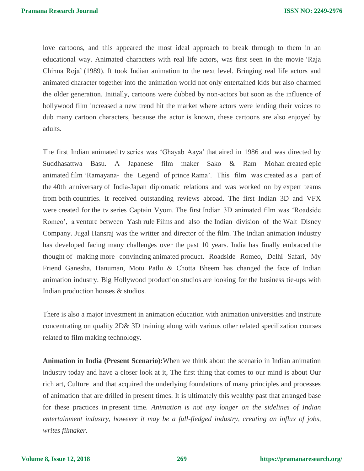love cartoons, and this appeared the most ideal approach to break through to them in an educational way. Animated characters with real life actors, was first seen in the movie 'Raja Chinna Roja' (1989). It took Indian animation to the next level. Bringing real life actors and animated character together into the animation world not only entertained kids but also charmed the older generation. Initially, cartoons were dubbed by non-actors but soon as the influence of bollywood film increased a new trend hit the market where actors were lending their voices to dub many cartoon characters, because the actor is known, these cartoons are also enjoyed by adults.

The first Indian animated tv series was 'Ghayab Aaya' that aired in 1986 and was directed by Suddhasattwa Basu. A Japanese film maker Sako & Ram Mohan created epic animated film 'Ramayana- the Legend of prince Rama'. This film was created as a part of the 40th anniversary of India-Japan diplomatic relations and was worked on by expert teams from both countries. It received outstanding reviews abroad. The first Indian 3D and VFX were created for the tv series Captain Vyom. The first Indian 3D animated film was 'Roadside Romeo', a venture between Yash rule Films and also the Indian division of the Walt Disney Company. Jugal Hansraj was the writter and director of the film. The Indian animation industry has developed facing many challenges over the past 10 years. India has finally embraced the thought of making more convincing animated product. Roadside Romeo, Delhi Safari, My Friend Ganesha, Hanuman, Motu Patlu & Chotta Bheem has changed the face of Indian animation industry. Big Hollywood production studios are looking for the business tie-ups with Indian production houses & studios.

There is also a major investment in animation education with animation universities and institute concentrating on quality 2D& 3D training along with various other related specilization courses related to film making technology.

**Animation in India (Present Scenario):**When we think about the scenario in Indian animation industry today and have a closer look at it, The first thing that comes to our mind is about Our rich art, Culture and that acquired the underlying foundations of many principles and processes of animation that are drilled in present times. It is ultimately this wealthy past that arranged base for these practices in present time. *Animation is not any longer on the sidelines of Indian entertainment industry, however it may be a full-fledged industry, creating an influx of jobs, writes filmaker.*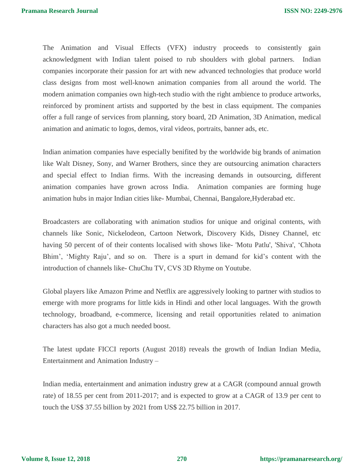The Animation and Visual Effects (VFX) industry proceeds to consistently gain acknowledgment with Indian talent poised to rub shoulders with global partners. Indian companies incorporate their passion for art with new advanced technologies that produce world class designs from most well-known animation companies from all around the world. The modern animation companies own high-tech studio with the right ambience to produce artworks, reinforced by prominent artists and supported by the best in class equipment. The companies offer a full range of services from planning, story board, 2D Animation, 3D Animation, medical animation and animatic to logos, demos, viral videos, portraits, banner ads, etc.

Indian animation companies have especially benifited by the worldwide big brands of animation like Walt Disney, Sony, and Warner Brothers, since they are outsourcing animation characters and special effect to Indian firms. With the increasing demands in outsourcing, different animation companies have grown across India. Animation companies are forming huge animation hubs in major Indian cities like- Mumbai, Chennai, Bangalore,Hyderabad etc.

Broadcasters are collaborating with animation studios for unique and original contents, with channels like Sonic, Nickelodeon, Cartoon Network, Discovery Kids, Disney Channel, etc having 50 percent of of their contents localised with shows like- 'Motu Patlu', 'Shiva', 'Chhota Bhim', 'Mighty Raju', and so on. There is a spurt in demand for kid's content with the introduction of channels like- ChuChu TV, CVS 3D Rhyme on Youtube.

Global players like Amazon Prime and Netflix are aggressively looking to partner with studios to emerge with more programs for little kids in Hindi and other local languages. With the growth technology, broadband, e-commerce, licensing and retail opportunities related to animation characters has also got a much needed boost.

The latest update FICCI reports (August 2018) reveals the growth of Indian Indian Media, Entertainment and Animation Industry –

Indian media, entertainment and animation industry grew at a CAGR (compound annual growth rate) of 18.55 per cent from 2011-2017; and is expected to grow at a CAGR of 13.9 per cent to touch the US\$ 37.55 billion by 2021 from US\$ 22.75 billion in 2017.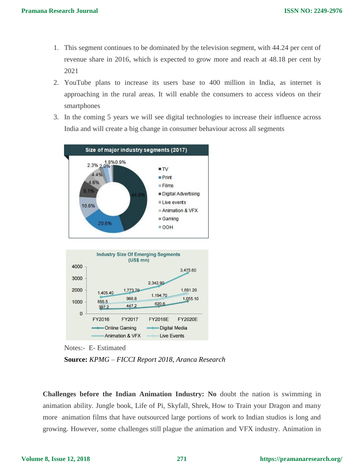- 1. This segment continues to be dominated by the television segment, with 44.24 per cent of revenue share in 2016, which is expected to grow more and reach at 48.18 per cent by 2021
- 2. YouTube plans to increase its users base to 400 million in India, as internet is approaching in the rural areas. It will enable the consumers to access videos on their smartphones
- 3. In the coming 5 years we will see digital technologies to increase their influence across India and will create a big change in consumer behaviour across all segments



Notes:- E- Estimated **Source:** *KPMG – FICCI Report 2018, Aranca Research*

**Challenges before the Indian Animation Industry: No** doubt the nation is swimming in animation ability. Jungle book, Life of Pi, Skyfall, Shrek, How to Train your Dragon and many more animation films that have outsourced large portions of work to Indian studios is long and growing. However, some challenges still plague the animation and VFX industry. Animation in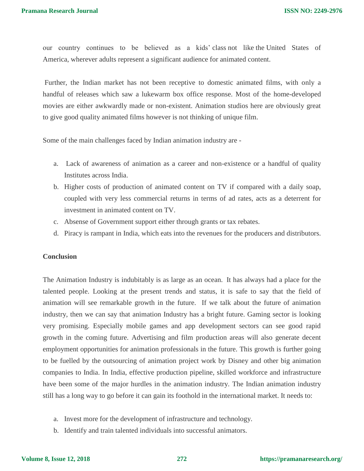our country continues to be believed as a kids' class not like the United States of America, wherever adults represent a significant audience for animated content.

Further, the Indian market has not been receptive to domestic animated films, with only a handful of releases which saw a lukewarm box office response. Most of the home-developed movies are either awkwardly made or non-existent. Animation studios here are obviously great to give good quality animated films however is not thinking of unique film.

Some of the main challenges faced by Indian animation industry are -

- a. Lack of awareness of animation as a career and non-existence or a handful of quality Institutes across India.
- b. Higher costs of production of animated content on TV if compared with a daily soap, coupled with very less commercial returns in terms of ad rates, acts as a deterrent for investment in animated content on TV.
- c. Absense of Government support either through grants or tax rebates.
- d. Piracy is rampant in India, which eats into the revenues for the producers and distributors.

#### **Conclusion**

The Animation Industry is indubitably is as large as an ocean. It has always had a place for the talented people. Looking at the present trends and status, it is safe to say that the field of animation will see remarkable growth in the future. If we talk about the future of animation industry, then we can say that animation Industry has a bright future. Gaming sector is looking very promising. Especially mobile games and app development sectors can see good rapid growth in the coming future. Advertising and film production areas will also generate decent employment opportunities for animation professionals in the future. This growth is further going to be fuelled by the outsourcing of animation project work by Disney and other big animation companies to India. In India, effective production pipeline, skilled workforce and infrastructure have been some of the major hurdles in the animation industry. The Indian animation industry still has a long way to go before it can gain its foothold in the international market. It needs to:

- a. Invest more for the development of infrastructure and technology.
- b. Identify and train talented individuals into successful animators.